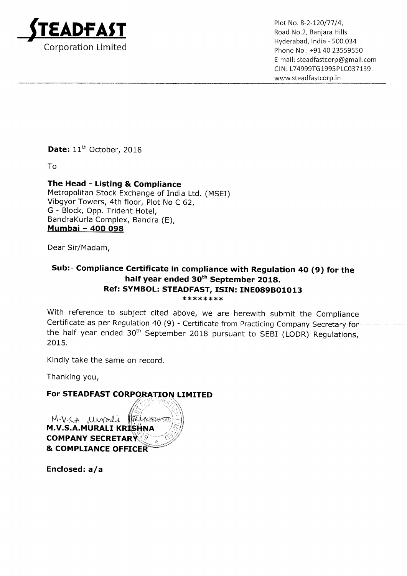

 $\mathsf{ADFAST}$  Plot No. 8-2-120/77/4, Plot No. 8-2-120/77/4, Hyderabad, India — 500 034 Corporation Limited **Phone No : +91 40 23559550** Email: steadfastcorp®gmail.com CIN: L74999TGl995PLC037139 www.5teadfastcorp.in

Date: 11<sup>th</sup> October, 2018

To

## The Head - Listing & Compliance

Metropolitan Stock Exchange of India Ltd. (MSEI) Vibgyor Towers, 4th floor, Plot No <sup>C</sup> 62, G — Block, Opp. Trident Hotel, BandraKurla Complex, Bandra (E), <u> Bandra</u>kuna Comple<br><u>Mumbai – 400 098</u>

Dear Sir/Madam,

## Sub:— Compliance Certificate in compliance with Regulation 40 (9) for the half year ended 30<sup>th</sup> September 2018. Ref: SYMBOL: STEADFAST, ISIN: INE089B01013 \*\*\*\*\*\*\*\*

With reference to subject cited above, we are herewith submit the Compliance Certificate as per Regulation 40 (9) — Certificate from Practicing Company Secretary for the half year ended  $30<sup>th</sup>$  September 2018 pursuant to SEBI (LODR) Regulations, 2015.

Kindly take the same on record.

Thanking you,

## For STEADFAST CORPORATION LIMITED

M.V.SA MUPALI PE M.V.S.A. MURALI KRISHNA **COMPANY SECRETARY & COMPLIANCE OFFICER** 

Enclosed: a/a